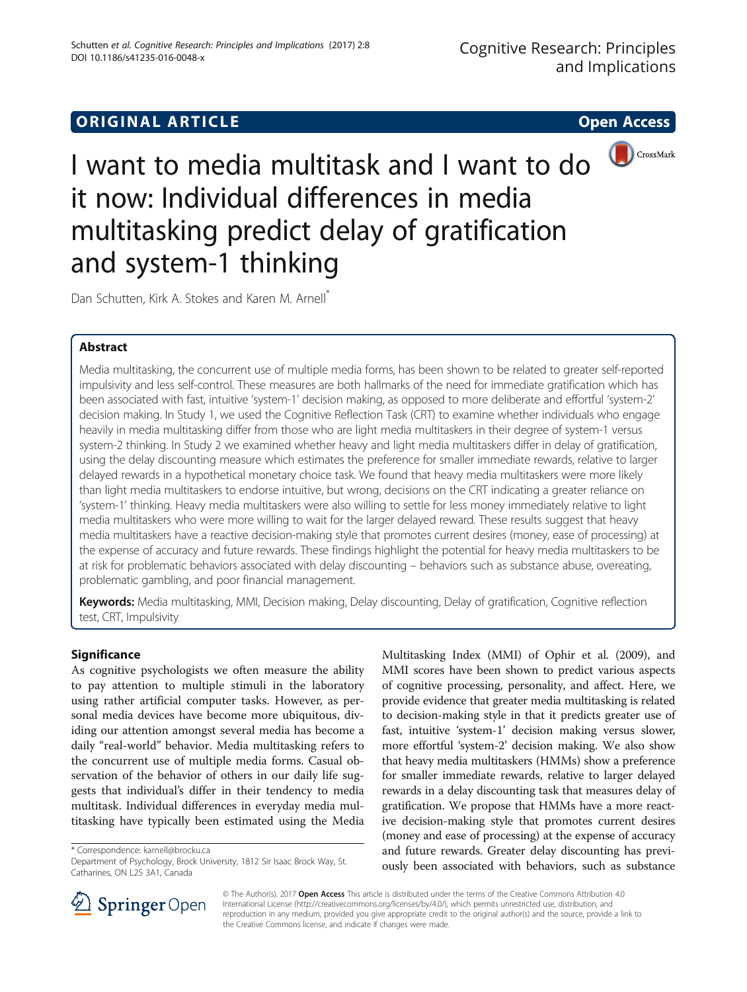# **ORIGINAL ARTICLE CONSERVANCE IN A LOCAL CONSERVANCE IN A LOCAL CONSERVANCE IN A LOCAL CONSERVANCE IN A LOCAL CONS**



I want to media multitask and I want to do it now: Individual differences in media multitasking predict delay of gratification and system-1 thinking

Dan Schutten, Kirk A. Stokes and Karen M. Arnell<sup>\*</sup>

## Abstract

Media multitasking, the concurrent use of multiple media forms, has been shown to be related to greater self-reported impulsivity and less self-control. These measures are both hallmarks of the need for immediate gratification which has been associated with fast, intuitive 'system-1' decision making, as opposed to more deliberate and effortful 'system-2' decision making. In Study 1, we used the Cognitive Reflection Task (CRT) to examine whether individuals who engage heavily in media multitasking differ from those who are light media multitaskers in their degree of system-1 versus system-2 thinking. In Study 2 we examined whether heavy and light media multitaskers differ in delay of gratification, using the delay discounting measure which estimates the preference for smaller immediate rewards, relative to larger delayed rewards in a hypothetical monetary choice task. We found that heavy media multitaskers were more likely than light media multitaskers to endorse intuitive, but wrong, decisions on the CRT indicating a greater reliance on 'system-1' thinking. Heavy media multitaskers were also willing to settle for less money immediately relative to light media multitaskers who were more willing to wait for the larger delayed reward. These results suggest that heavy media multitaskers have a reactive decision-making style that promotes current desires (money, ease of processing) at the expense of accuracy and future rewards. These findings highlight the potential for heavy media multitaskers to be at risk for problematic behaviors associated with delay discounting – behaviors such as substance abuse, overeating, problematic gambling, and poor financial management.

Keywords: Media multitasking, MMI, Decision making, Delay discounting, Delay of gratification, Cognitive reflection test, CRT, Impulsivity

## **Significance**

As cognitive psychologists we often measure the ability to pay attention to multiple stimuli in the laboratory using rather artificial computer tasks. However, as personal media devices have become more ubiquitous, dividing our attention amongst several media has become a daily "real-world" behavior. Media multitasking refers to the concurrent use of multiple media forms. Casual observation of the behavior of others in our daily life suggests that individual's differ in their tendency to media multitask. Individual differences in everyday media multitasking have typically been estimated using the Media

\* Correspondence: [karnell@brocku.ca](mailto:karnell@brocku.ca)

Department of Psychology, Brock University, 1812 Sir Isaac Brock Way, St. Catharines, ON L2S 3A1, Canada

Multitasking Index (MMI) of Ophir et al. [\(2009](#page-8-0)), and MMI scores have been shown to predict various aspects of cognitive processing, personality, and affect. Here, we provide evidence that greater media multitasking is related to decision-making style in that it predicts greater use of fast, intuitive 'system-1' decision making versus slower, more effortful 'system-2' decision making. We also show that heavy media multitaskers (HMMs) show a preference for smaller immediate rewards, relative to larger delayed rewards in a delay discounting task that measures delay of gratification. We propose that HMMs have a more reactive decision-making style that promotes current desires (money and ease of processing) at the expense of accuracy and future rewards. Greater delay discounting has previously been associated with behaviors, such as substance



© The Author(s). 2017 Open Access This article is distributed under the terms of the Creative Commons Attribution 4.0 International License ([http://creativecommons.org/licenses/by/4.0/\)](http://creativecommons.org/licenses/by/4.0/), which permits unrestricted use, distribution, and reproduction in any medium, provided you give appropriate credit to the original author(s) and the source, provide a link to the Creative Commons license, and indicate if changes were made.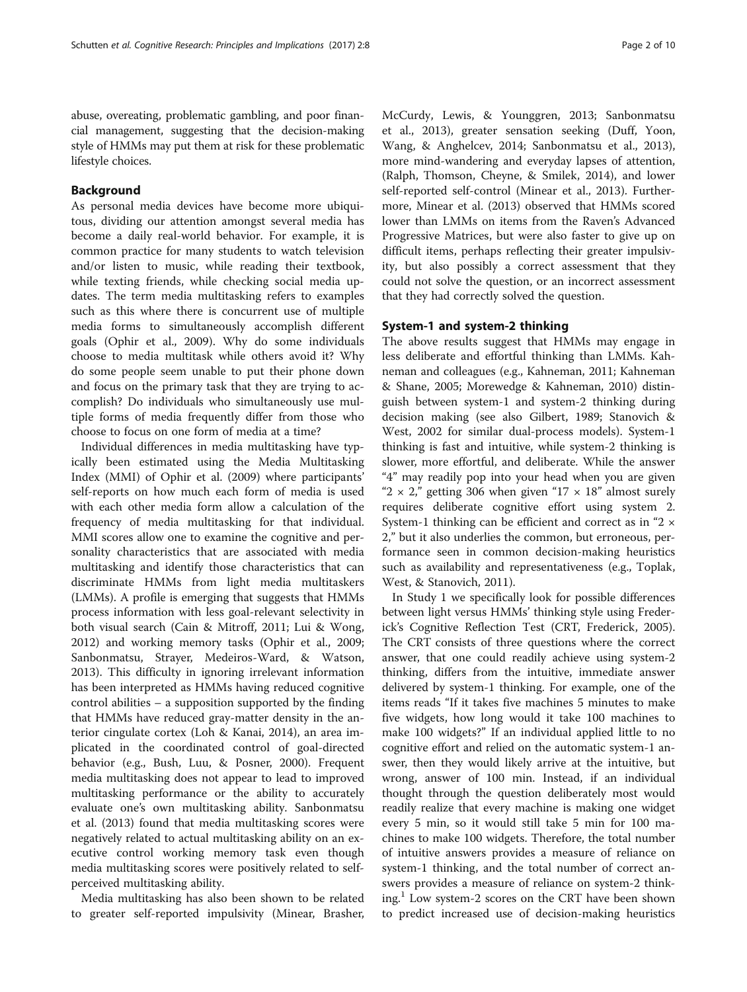abuse, overeating, problematic gambling, and poor financial management, suggesting that the decision-making style of HMMs may put them at risk for these problematic lifestyle choices.

### Background

As personal media devices have become more ubiquitous, dividing our attention amongst several media has become a daily real-world behavior. For example, it is common practice for many students to watch television and/or listen to music, while reading their textbook, while texting friends, while checking social media updates. The term media multitasking refers to examples such as this where there is concurrent use of multiple media forms to simultaneously accomplish different goals (Ophir et al., [2009\)](#page-8-0). Why do some individuals choose to media multitask while others avoid it? Why do some people seem unable to put their phone down and focus on the primary task that they are trying to accomplish? Do individuals who simultaneously use multiple forms of media frequently differ from those who choose to focus on one form of media at a time?

Individual differences in media multitasking have typically been estimated using the Media Multitasking Index (MMI) of Ophir et al. ([2009](#page-8-0)) where participants' self-reports on how much each form of media is used with each other media form allow a calculation of the frequency of media multitasking for that individual. MMI scores allow one to examine the cognitive and personality characteristics that are associated with media multitasking and identify those characteristics that can discriminate HMMs from light media multitaskers (LMMs). A profile is emerging that suggests that HMMs process information with less goal-relevant selectivity in both visual search (Cain & Mitroff, [2011;](#page-8-0) Lui & Wong, [2012](#page-8-0)) and working memory tasks (Ophir et al., [2009](#page-8-0); Sanbonmatsu, Strayer, Medeiros-Ward, & Watson, [2013](#page-9-0)). This difficulty in ignoring irrelevant information has been interpreted as HMMs having reduced cognitive control abilities – a supposition supported by the finding that HMMs have reduced gray-matter density in the anterior cingulate cortex (Loh & Kanai, [2014\)](#page-8-0), an area implicated in the coordinated control of goal-directed behavior (e.g., Bush, Luu, & Posner, [2000\)](#page-8-0). Frequent media multitasking does not appear to lead to improved multitasking performance or the ability to accurately evaluate one's own multitasking ability. Sanbonmatsu et al. [\(2013\)](#page-9-0) found that media multitasking scores were negatively related to actual multitasking ability on an executive control working memory task even though media multitasking scores were positively related to selfperceived multitasking ability.

Media multitasking has also been shown to be related to greater self-reported impulsivity (Minear, Brasher, McCurdy, Lewis, & Younggren, [2013;](#page-8-0) Sanbonmatsu et al., [2013](#page-9-0)), greater sensation seeking (Duff, Yoon, Wang, & Anghelcev, [2014;](#page-8-0) Sanbonmatsu et al., [2013](#page-9-0)), more mind-wandering and everyday lapses of attention, (Ralph, Thomson, Cheyne, & Smilek, [2014\)](#page-9-0), and lower self-reported self-control (Minear et al., [2013](#page-8-0)). Furthermore, Minear et al. [\(2013\)](#page-8-0) observed that HMMs scored lower than LMMs on items from the Raven's Advanced Progressive Matrices, but were also faster to give up on difficult items, perhaps reflecting their greater impulsivity, but also possibly a correct assessment that they could not solve the question, or an incorrect assessment that they had correctly solved the question.

### System-1 and system-2 thinking

The above results suggest that HMMs may engage in less deliberate and effortful thinking than LMMs. Kahneman and colleagues (e.g., Kahneman, [2011](#page-8-0); Kahneman & Shane, [2005](#page-8-0); Morewedge & Kahneman, [2010](#page-8-0)) distinguish between system-1 and system-2 thinking during decision making (see also Gilbert, [1989](#page-8-0); Stanovich & West, [2002](#page-9-0) for similar dual-process models). System-1 thinking is fast and intuitive, while system-2 thinking is slower, more effortful, and deliberate. While the answer "4" may readily pop into your head when you are given " $2 \times 2$ ," getting 306 when given " $17 \times 18$ " almost surely requires deliberate cognitive effort using system 2. System-1 thinking can be efficient and correct as in "2 × 2," but it also underlies the common, but erroneous, performance seen in common decision-making heuristics such as availability and representativeness (e.g., Toplak, West, & Stanovich, [2011\)](#page-9-0).

In Study 1 we specifically look for possible differences between light versus HMMs' thinking style using Frederick's Cognitive Reflection Test (CRT, Frederick, [2005](#page-8-0)). The CRT consists of three questions where the correct answer, that one could readily achieve using system-2 thinking, differs from the intuitive, immediate answer delivered by system-1 thinking. For example, one of the items reads "If it takes five machines 5 minutes to make five widgets, how long would it take 100 machines to make 100 widgets?" If an individual applied little to no cognitive effort and relied on the automatic system-1 answer, then they would likely arrive at the intuitive, but wrong, answer of 100 min. Instead, if an individual thought through the question deliberately most would readily realize that every machine is making one widget every 5 min, so it would still take 5 min for 100 machines to make 100 widgets. Therefore, the total number of intuitive answers provides a measure of reliance on system-1 thinking, and the total number of correct answers provides a measure of reliance on system-2 thinking.<sup>1</sup> Low system-2 scores on the CRT have been shown to predict increased use of decision-making heuristics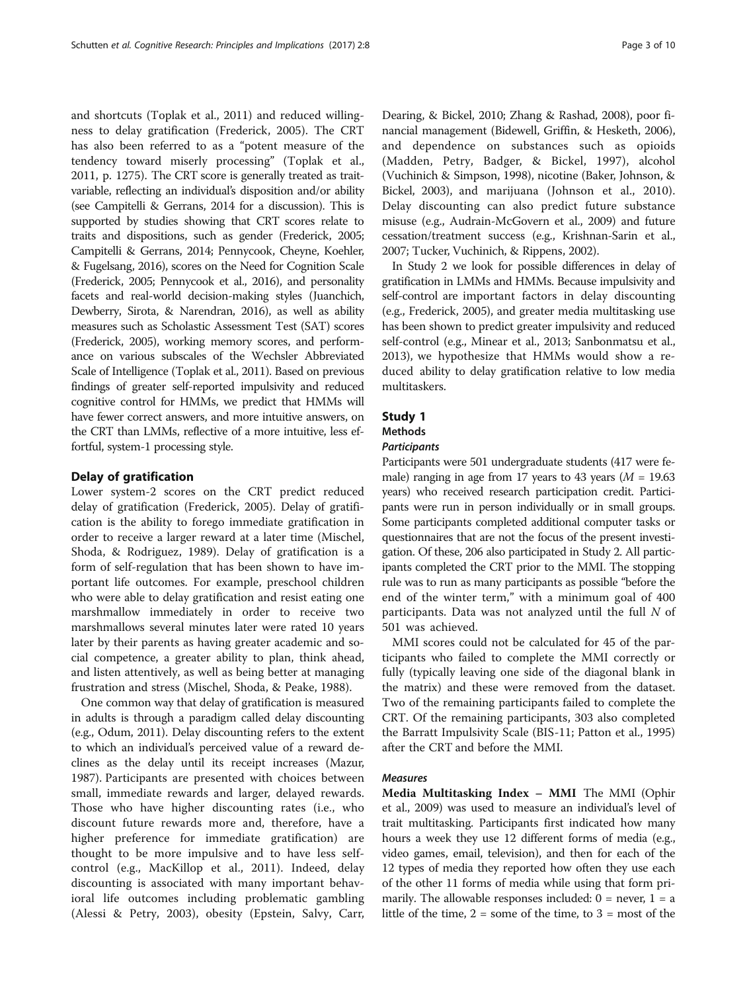and shortcuts (Toplak et al., [2011](#page-9-0)) and reduced willingness to delay gratification (Frederick, [2005](#page-8-0)). The CRT has also been referred to as a "potent measure of the tendency toward miserly processing" (Toplak et al., [2011](#page-9-0), p. 1275). The CRT score is generally treated as traitvariable, reflecting an individual's disposition and/or ability (see Campitelli & Gerrans, [2014](#page-8-0) for a discussion). This is supported by studies showing that CRT scores relate to traits and dispositions, such as gender (Frederick, [2005](#page-8-0); Campitelli & Gerrans, [2014](#page-8-0); Pennycook, Cheyne, Koehler, & Fugelsang, [2016\)](#page-9-0), scores on the Need for Cognition Scale (Frederick, [2005;](#page-8-0) Pennycook et al., [2016\)](#page-9-0), and personality facets and real-world decision-making styles (Juanchich, Dewberry, Sirota, & Narendran, [2016](#page-8-0)), as well as ability measures such as Scholastic Assessment Test (SAT) scores (Frederick, [2005](#page-8-0)), working memory scores, and performance on various subscales of the Wechsler Abbreviated Scale of Intelligence (Toplak et al., [2011\)](#page-9-0). Based on previous findings of greater self-reported impulsivity and reduced cognitive control for HMMs, we predict that HMMs will have fewer correct answers, and more intuitive answers, on the CRT than LMMs, reflective of a more intuitive, less effortful, system-1 processing style.

### Delay of gratification

Lower system-2 scores on the CRT predict reduced delay of gratification (Frederick, [2005\)](#page-8-0). Delay of gratification is the ability to forego immediate gratification in order to receive a larger reward at a later time (Mischel, Shoda, & Rodriguez, [1989\)](#page-8-0). Delay of gratification is a form of self-regulation that has been shown to have important life outcomes. For example, preschool children who were able to delay gratification and resist eating one marshmallow immediately in order to receive two marshmallows several minutes later were rated 10 years later by their parents as having greater academic and social competence, a greater ability to plan, think ahead, and listen attentively, as well as being better at managing frustration and stress (Mischel, Shoda, & Peake, [1988](#page-8-0)).

One common way that delay of gratification is measured in adults is through a paradigm called delay discounting (e.g., Odum, [2011\)](#page-8-0). Delay discounting refers to the extent to which an individual's perceived value of a reward declines as the delay until its receipt increases (Mazur, [1987\)](#page-8-0). Participants are presented with choices between small, immediate rewards and larger, delayed rewards. Those who have higher discounting rates (i.e., who discount future rewards more and, therefore, have a higher preference for immediate gratification) are thought to be more impulsive and to have less selfcontrol (e.g., MacKillop et al., [2011](#page-8-0)). Indeed, delay discounting is associated with many important behavioral life outcomes including problematic gambling (Alessi & Petry, [2003\)](#page-8-0), obesity (Epstein, Salvy, Carr,

Dearing, & Bickel, [2010](#page-8-0); Zhang & Rashad, [2008](#page-9-0)), poor financial management (Bidewell, Griffin, & Hesketh, [2006](#page-8-0)), and dependence on substances such as opioids (Madden, Petry, Badger, & Bickel, [1997](#page-8-0)), alcohol (Vuchinich & Simpson, [1998\)](#page-9-0), nicotine (Baker, Johnson, & Bickel, [2003\)](#page-8-0), and marijuana (Johnson et al., [2010](#page-8-0)). Delay discounting can also predict future substance misuse (e.g., Audrain-McGovern et al., [2009](#page-8-0)) and future cessation/treatment success (e.g., Krishnan-Sarin et al., [2007;](#page-8-0) Tucker, Vuchinich, & Rippens, [2002\)](#page-9-0).

In Study 2 we look for possible differences in delay of gratification in LMMs and HMMs. Because impulsivity and self-control are important factors in delay discounting (e.g., Frederick, [2005](#page-8-0)), and greater media multitasking use has been shown to predict greater impulsivity and reduced self-control (e.g., Minear et al., [2013;](#page-8-0) Sanbonmatsu et al., [2013\)](#page-9-0), we hypothesize that HMMs would show a reduced ability to delay gratification relative to low media multitaskers.

### Study 1

#### Methods

### **Participants**

Participants were 501 undergraduate students (417 were female) ranging in age from 17 years to 43 years  $(M = 19.63)$ years) who received research participation credit. Participants were run in person individually or in small groups. Some participants completed additional computer tasks or questionnaires that are not the focus of the present investigation. Of these, 206 also participated in Study 2. All participants completed the CRT prior to the MMI. The stopping rule was to run as many participants as possible "before the end of the winter term," with a minimum goal of 400 participants. Data was not analyzed until the full  $N$  of 501 was achieved.

MMI scores could not be calculated for 45 of the participants who failed to complete the MMI correctly or fully (typically leaving one side of the diagonal blank in the matrix) and these were removed from the dataset. Two of the remaining participants failed to complete the CRT. Of the remaining participants, 303 also completed the Barratt Impulsivity Scale (BIS-11; Patton et al., [1995](#page-8-0)) after the CRT and before the MMI.

#### Measures

Media Multitasking Index – MMI The MMI (Ophir et al., [2009\)](#page-8-0) was used to measure an individual's level of trait multitasking. Participants first indicated how many hours a week they use 12 different forms of media (e.g., video games, email, television), and then for each of the 12 types of media they reported how often they use each of the other 11 forms of media while using that form primarily. The allowable responses included:  $0 =$  never,  $1 = a$ little of the time,  $2 =$  some of the time, to  $3 =$  most of the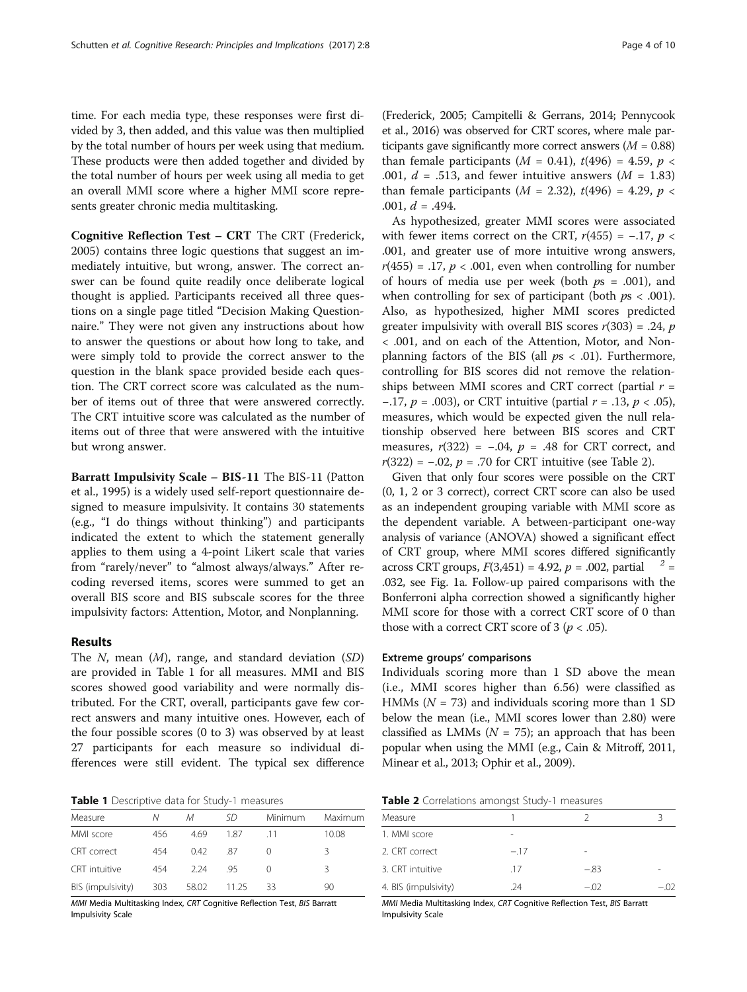time. For each media type, these responses were first divided by 3, then added, and this value was then multiplied by the total number of hours per week using that medium. These products were then added together and divided by the total number of hours per week using all media to get an overall MMI score where a higher MMI score represents greater chronic media multitasking.

Cognitive Reflection Test – CRT The CRT (Frederick, [2005](#page-8-0)) contains three logic questions that suggest an immediately intuitive, but wrong, answer. The correct answer can be found quite readily once deliberate logical thought is applied. Participants received all three questions on a single page titled "Decision Making Questionnaire." They were not given any instructions about how to answer the questions or about how long to take, and were simply told to provide the correct answer to the question in the blank space provided beside each question. The CRT correct score was calculated as the number of items out of three that were answered correctly. The CRT intuitive score was calculated as the number of items out of three that were answered with the intuitive but wrong answer.

Barratt Impulsivity Scale – BIS-11 The BIS-11 (Patton et al., [1995\)](#page-8-0) is a widely used self-report questionnaire designed to measure impulsivity. It contains 30 statements (e.g., "I do things without thinking") and participants indicated the extent to which the statement generally applies to them using a 4-point Likert scale that varies from "rarely/never" to "almost always/always." After recoding reversed items, scores were summed to get an overall BIS score and BIS subscale scores for the three impulsivity factors: Attention, Motor, and Nonplanning.

### Results

The  $N$ , mean  $(M)$ , range, and standard deviation  $(SD)$ are provided in Table 1 for all measures. MMI and BIS scores showed good variability and were normally distributed. For the CRT, overall, participants gave few correct answers and many intuitive ones. However, each of the four possible scores (0 to 3) was observed by at least 27 participants for each measure so individual differences were still evident. The typical sex difference

Table 1 Descriptive data for Study-1 measures

| Measure              |     | М     | SD    | Minimum | Maximum |
|----------------------|-----|-------|-------|---------|---------|
| MMI score            | 456 | 469   | 187   | -11     | 10.08   |
| CRT correct          | 454 | 0.42  | -87   |         | ર       |
| <b>CRT</b> intuitive | 454 | 224   | -95   |         | २       |
| BIS (impulsivity)    | 303 | 58.02 | 11.25 | 33      | 90      |

MMI Media Multitasking Index, CRT Cognitive Reflection Test, BIS Barratt Impulsivity Scale

(Frederick, [2005;](#page-8-0) Campitelli & Gerrans, [2014](#page-8-0); Pennycook et al., [2016\)](#page-9-0) was observed for CRT scores, where male participants gave significantly more correct answers  $(M = 0.88)$ than female participants ( $M = 0.41$ ),  $t(496) = 4.59$ ,  $p <$ .001,  $d = .513$ , and fewer intuitive answers ( $M = 1.83$ ) than female participants ( $M = 2.32$ ),  $t(496) = 4.29$ ,  $p <$  $.001, d = .494.$ 

As hypothesized, greater MMI scores were associated with fewer items correct on the CRT,  $r(455) = -.17$ ,  $p <$ .001, and greater use of more intuitive wrong answers,  $r(455) = .17, p < .001$ , even when controlling for number of hours of media use per week (both  $ps = .001$ ), and when controlling for sex of participant (both  $ps < .001$ ). Also, as hypothesized, higher MMI scores predicted greater impulsivity with overall BIS scores  $r(303) = .24$ , p < .001, and on each of the Attention, Motor, and Nonplanning factors of the BIS (all  $ps < .01$ ). Furthermore, controlling for BIS scores did not remove the relationships between MMI scores and CRT correct (partial  $r =$ −.17,  $p = .003$ ), or CRT intuitive (partial  $r = .13$ ,  $p < .05$ ), measures, which would be expected given the null relationship observed here between BIS scores and CRT measures,  $r(322) = -.04$ ,  $p = .48$  for CRT correct, and  $r(322) = -.02, p = .70$  for CRT intuitive (see Table 2).

Given that only four scores were possible on the CRT (0, 1, 2 or 3 correct), correct CRT score can also be used as an independent grouping variable with MMI score as the dependent variable. A between-participant one-way analysis of variance (ANOVA) showed a significant effect of CRT group, where MMI scores differed significantly across CRT groups,  $F(3,451) = 4.92$ ,  $p = .002$ , partial  $2 =$ .032, see Fig. [1](#page-5-0)a. Follow-up paired comparisons with the Bonferroni alpha correction showed a significantly higher MMI score for those with a correct CRT score of 0 than those with a correct CRT score of 3 ( $p < .05$ ).

#### Extreme groups' comparisons

Individuals scoring more than 1 SD above the mean (i.e., MMI scores higher than 6.56) were classified as HMMs ( $N = 73$ ) and individuals scoring more than 1 SD below the mean (i.e., MMI scores lower than 2.80) were classified as LMMs ( $N = 75$ ); an approach that has been popular when using the MMI (e.g., Cain & Mitroff, [2011](#page-8-0), Minear et al., [2013](#page-8-0); Ophir et al., [2009](#page-8-0)).

| Table 2 Correlations amongst Study-1 measures |
|-----------------------------------------------|
|-----------------------------------------------|

| Measure              |        |        |        |
|----------------------|--------|--------|--------|
| 1. MMI score         |        |        |        |
| 2. CRT correct       | $-.17$ |        |        |
| 3. CRT intuitive     | -17    | $-.83$ |        |
| 4. BIS (impulsivity) | .24    | $-.02$ | $-.02$ |

MMI Media Multitasking Index, CRT Cognitive Reflection Test, BIS Barratt Impulsivity Scale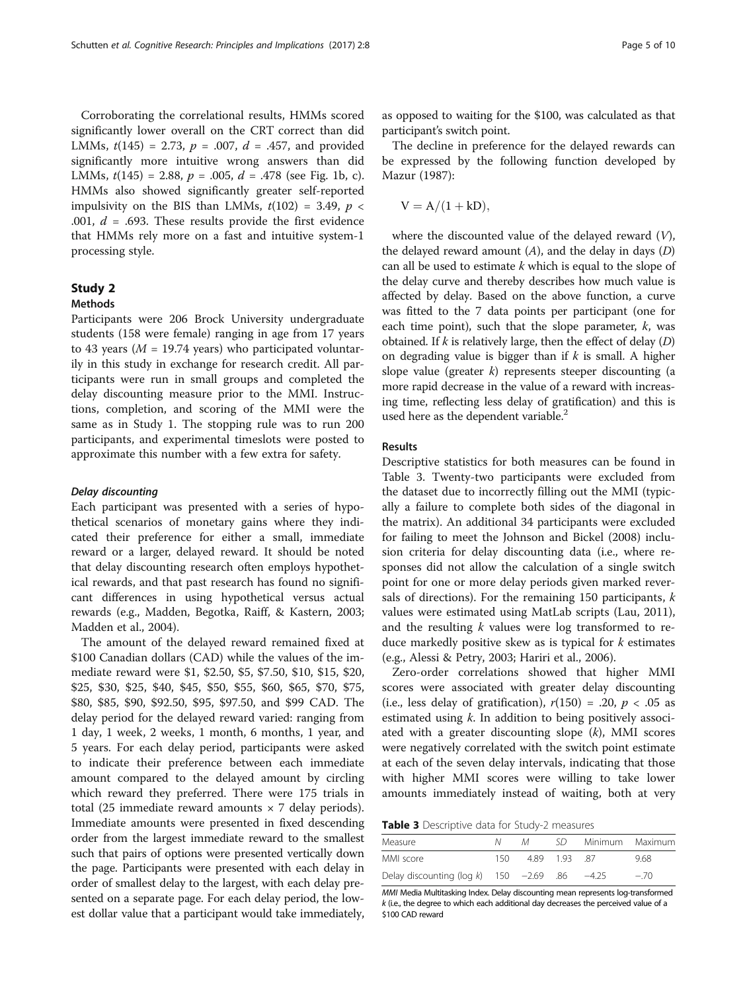Corroborating the correlational results, HMMs scored significantly lower overall on the CRT correct than did LMMs,  $t(145) = 2.73$ ,  $p = .007$ ,  $d = .457$ , and provided significantly more intuitive wrong answers than did LMMs,  $t(145) = 2.88$ ,  $p = .005$ ,  $d = .478$  (see Fig. [1](#page-5-0)b, c). HMMs also showed significantly greater self-reported impulsivity on the BIS than LMMs,  $t(102) = 3.49$ ,  $p <$ .001,  $d = .693$ . These results provide the first evidence that HMMs rely more on a fast and intuitive system-1 processing style.

## Study 2

#### Methods

Participants were 206 Brock University undergraduate students (158 were female) ranging in age from 17 years to 43 years ( $M = 19.74$  years) who participated voluntarily in this study in exchange for research credit. All participants were run in small groups and completed the delay discounting measure prior to the MMI. Instructions, completion, and scoring of the MMI were the same as in Study 1. The stopping rule was to run 200 participants, and experimental timeslots were posted to approximate this number with a few extra for safety.

#### Delay discounting

Each participant was presented with a series of hypothetical scenarios of monetary gains where they indicated their preference for either a small, immediate reward or a larger, delayed reward. It should be noted that delay discounting research often employs hypothetical rewards, and that past research has found no significant differences in using hypothetical versus actual rewards (e.g., Madden, Begotka, Raiff, & Kastern, [2003](#page-8-0); Madden et al., [2004\)](#page-8-0).

The amount of the delayed reward remained fixed at \$100 Canadian dollars (CAD) while the values of the immediate reward were \$1, \$2.50, \$5, \$7.50, \$10, \$15, \$20, \$25, \$30, \$25, \$40, \$45, \$50, \$55, \$60, \$65, \$70, \$75, \$80, \$85, \$90, \$92.50, \$95, \$97.50, and \$99 CAD. The delay period for the delayed reward varied: ranging from 1 day, 1 week, 2 weeks, 1 month, 6 months, 1 year, and 5 years. For each delay period, participants were asked to indicate their preference between each immediate amount compared to the delayed amount by circling which reward they preferred. There were 175 trials in total (25 immediate reward amounts  $\times$  7 delay periods). Immediate amounts were presented in fixed descending order from the largest immediate reward to the smallest such that pairs of options were presented vertically down the page. Participants were presented with each delay in order of smallest delay to the largest, with each delay presented on a separate page. For each delay period, the lowest dollar value that a participant would take immediately,

as opposed to waiting for the \$100, was calculated as that participant's switch point.

The decline in preference for the delayed rewards can be expressed by the following function developed by Mazur ([1987](#page-8-0)):

$$
V = A/(1 + kD),
$$

where the discounted value of the delayed reward  $(V)$ , the delayed reward amount  $(A)$ , and the delay in days  $(D)$ can all be used to estimate  $k$  which is equal to the slope of the delay curve and thereby describes how much value is affected by delay. Based on the above function, a curve was fitted to the 7 data points per participant (one for each time point), such that the slope parameter,  $k$ , was obtained. If  $k$  is relatively large, then the effect of delay  $(D)$ on degrading value is bigger than if  $k$  is small. A higher slope value (greater  $k$ ) represents steeper discounting (a more rapid decrease in the value of a reward with increasing time, reflecting less delay of gratification) and this is used here as the dependent variable.<sup>2</sup>

#### Results

Descriptive statistics for both measures can be found in Table 3. Twenty-two participants were excluded from the dataset due to incorrectly filling out the MMI (typically a failure to complete both sides of the diagonal in the matrix). An additional 34 participants were excluded for failing to meet the Johnson and Bickel [\(2008\)](#page-8-0) inclusion criteria for delay discounting data (i.e., where responses did not allow the calculation of a single switch point for one or more delay periods given marked reversals of directions). For the remaining 150 participants,  $k$ values were estimated using MatLab scripts (Lau, [2011](#page-8-0)), and the resulting  $k$  values were log transformed to reduce markedly positive skew as is typical for  $k$  estimates (e.g., Alessi & Petry, [2003](#page-8-0); Hariri et al., [2006](#page-8-0)).

Zero-order correlations showed that higher MMI scores were associated with greater delay discounting (i.e., less delay of gratification),  $r(150) = .20$ ,  $p < .05$  as estimated using  $k$ . In addition to being positively associated with a greater discounting slope  $(k)$ , MMI scores were negatively correlated with the switch point estimate at each of the seven delay intervals, indicating that those with higher MMI scores were willing to take lower amounts immediately instead of waiting, both at very

Table 3 Descriptive data for Study-2 measures

| Measure                                   |      | М | SD.          |         | Minimum Maximum |
|-------------------------------------------|------|---|--------------|---------|-----------------|
| MMI score                                 | 150. |   | 4.89 1.93 87 |         | 9.68            |
| Delay discounting (log k) $150 -2.69$ .86 |      |   |              | $-4.25$ | $-70^{-}$       |

MMI Media Multitasking Index. Delay discounting mean represents log-transformed k (i.e., the degree to which each additional day decreases the perceived value of a \$100 CAD reward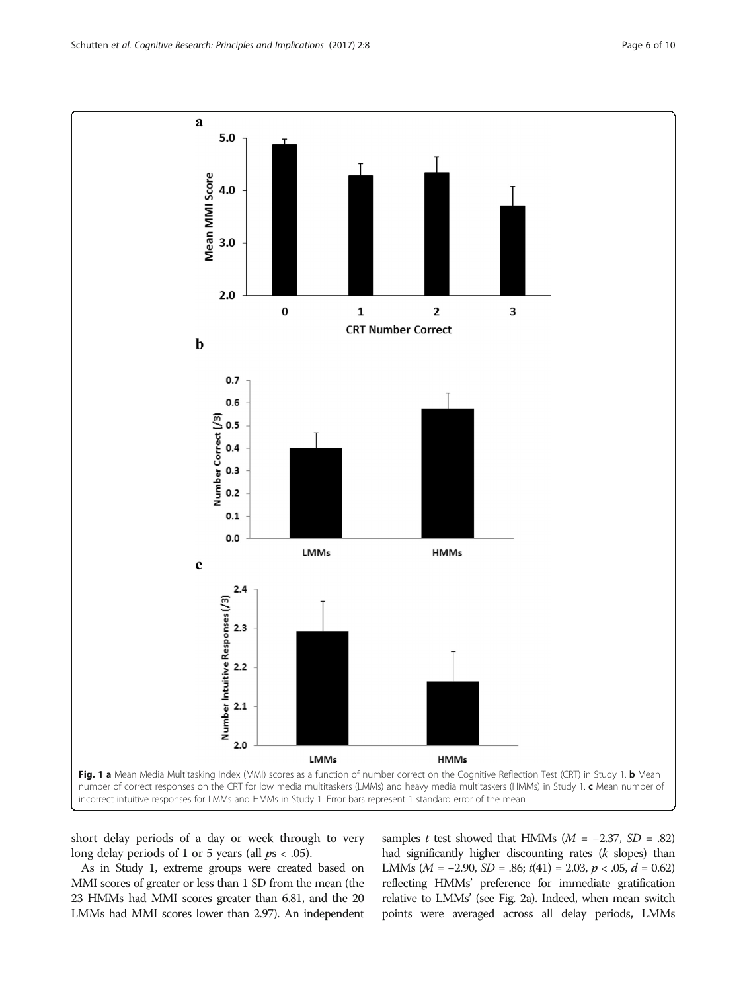<span id="page-5-0"></span>

short delay periods of a day or week through to very long delay periods of 1 or 5 years (all  $ps < .05$ ).

As in Study 1, extreme groups were created based on MMI scores of greater or less than 1 SD from the mean (the 23 HMMs had MMI scores greater than 6.81, and the 20 LMMs had MMI scores lower than 2.97). An independent

samples t test showed that HMMs ( $M = -2.37$ ,  $SD = .82$ ) had significantly higher discounting rates  $(k \text{ slopes})$  than LMMs ( $M = -2.90$ ,  $SD = .86$ ;  $t(41) = 2.03$ ,  $p < .05$ ,  $d = 0.62$ ) reflecting HMMs' preference for immediate gratification relative to LMMs' (see Fig. [2a](#page-6-0)). Indeed, when mean switch points were averaged across all delay periods, LMMs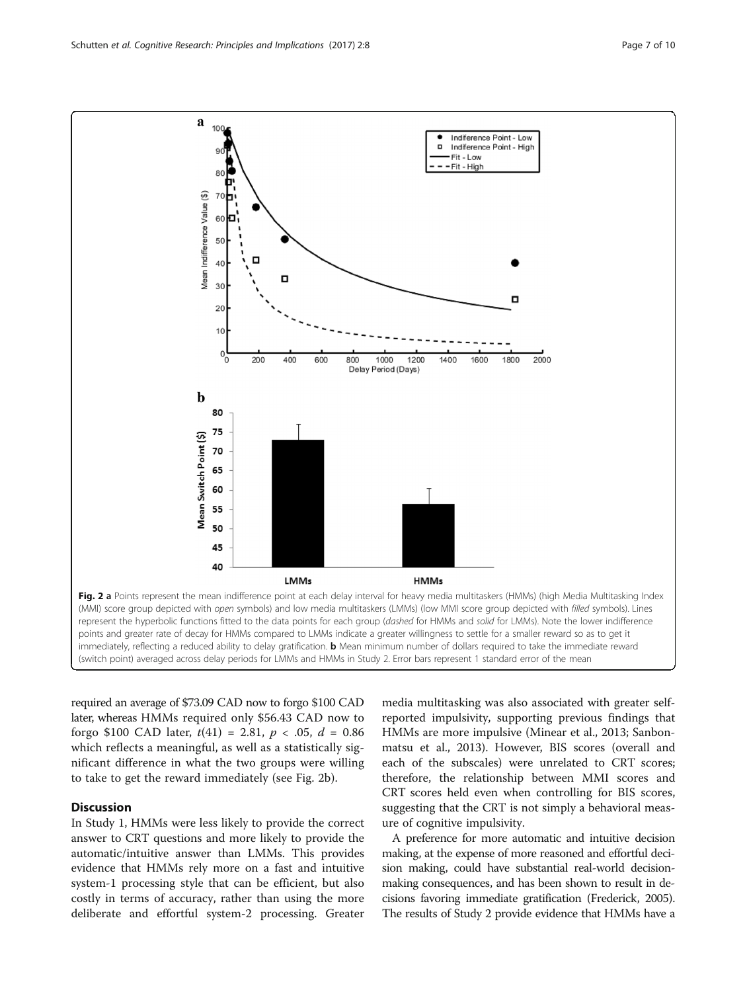required an average of \$73.09 CAD now to forgo \$100 CAD later, whereas HMMs required only \$56.43 CAD now to forgo \$100 CAD later,  $t(41) = 2.81$ ,  $p < .05$ ,  $d = 0.86$ which reflects a meaningful, as well as a statistically significant difference in what the two groups were willing to take to get the reward immediately (see Fig. 2b).

## Discussion

In Study 1, HMMs were less likely to provide the correct answer to CRT questions and more likely to provide the automatic/intuitive answer than LMMs. This provides evidence that HMMs rely more on a fast and intuitive system-1 processing style that can be efficient, but also costly in terms of accuracy, rather than using the more deliberate and effortful system-2 processing. Greater media multitasking was also associated with greater selfreported impulsivity, supporting previous findings that HMMs are more impulsive (Minear et al., [2013](#page-8-0); Sanbonmatsu et al., [2013](#page-9-0)). However, BIS scores (overall and each of the subscales) were unrelated to CRT scores; therefore, the relationship between MMI scores and CRT scores held even when controlling for BIS scores, suggesting that the CRT is not simply a behavioral measure of cognitive impulsivity.

A preference for more automatic and intuitive decision making, at the expense of more reasoned and effortful decision making, could have substantial real-world decisionmaking consequences, and has been shown to result in decisions favoring immediate gratification (Frederick, [2005](#page-8-0)). The results of Study 2 provide evidence that HMMs have a

<span id="page-6-0"></span>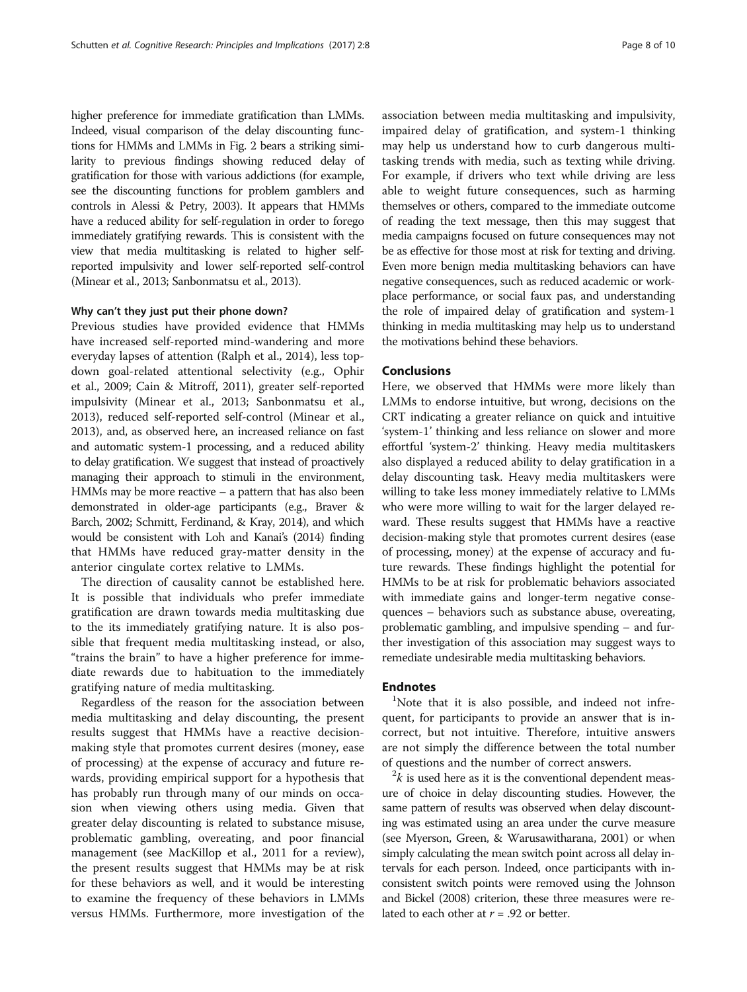higher preference for immediate gratification than LMMs. Indeed, visual comparison of the delay discounting functions for HMMs and LMMs in Fig. [2](#page-6-0) bears a striking similarity to previous findings showing reduced delay of gratification for those with various addictions (for example, see the discounting functions for problem gamblers and controls in Alessi & Petry, [2003](#page-8-0)). It appears that HMMs have a reduced ability for self-regulation in order to forego immediately gratifying rewards. This is consistent with the view that media multitasking is related to higher selfreported impulsivity and lower self-reported self-control (Minear et al., [2013;](#page-8-0) Sanbonmatsu et al., [2013\)](#page-9-0).

#### Why can't they just put their phone down?

Previous studies have provided evidence that HMMs have increased self-reported mind-wandering and more everyday lapses of attention (Ralph et al., [2014\)](#page-9-0), less topdown goal-related attentional selectivity (e.g., Ophir et al., [2009;](#page-8-0) Cain & Mitroff, [2011](#page-8-0)), greater self-reported impulsivity (Minear et al., [2013](#page-8-0); Sanbonmatsu et al., [2013](#page-9-0)), reduced self-reported self-control (Minear et al., [2013](#page-8-0)), and, as observed here, an increased reliance on fast and automatic system-1 processing, and a reduced ability to delay gratification. We suggest that instead of proactively managing their approach to stimuli in the environment, HMMs may be more reactive – a pattern that has also been demonstrated in older-age participants (e.g., Braver & Barch, [2002](#page-8-0); Schmitt, Ferdinand, & Kray, [2014](#page-9-0)), and which would be consistent with Loh and Kanai's ([2014\)](#page-8-0) finding that HMMs have reduced gray-matter density in the anterior cingulate cortex relative to LMMs.

The direction of causality cannot be established here. It is possible that individuals who prefer immediate gratification are drawn towards media multitasking due to the its immediately gratifying nature. It is also possible that frequent media multitasking instead, or also, "trains the brain" to have a higher preference for immediate rewards due to habituation to the immediately gratifying nature of media multitasking.

Regardless of the reason for the association between media multitasking and delay discounting, the present results suggest that HMMs have a reactive decisionmaking style that promotes current desires (money, ease of processing) at the expense of accuracy and future rewards, providing empirical support for a hypothesis that has probably run through many of our minds on occasion when viewing others using media. Given that greater delay discounting is related to substance misuse, problematic gambling, overeating, and poor financial management (see MacKillop et al., [2011](#page-8-0) for a review), the present results suggest that HMMs may be at risk for these behaviors as well, and it would be interesting to examine the frequency of these behaviors in LMMs versus HMMs. Furthermore, more investigation of the association between media multitasking and impulsivity, impaired delay of gratification, and system-1 thinking may help us understand how to curb dangerous multitasking trends with media, such as texting while driving. For example, if drivers who text while driving are less able to weight future consequences, such as harming themselves or others, compared to the immediate outcome of reading the text message, then this may suggest that media campaigns focused on future consequences may not be as effective for those most at risk for texting and driving. Even more benign media multitasking behaviors can have negative consequences, such as reduced academic or workplace performance, or social faux pas, and understanding the role of impaired delay of gratification and system-1 thinking in media multitasking may help us to understand the motivations behind these behaviors.

### Conclusions

Here, we observed that HMMs were more likely than LMMs to endorse intuitive, but wrong, decisions on the CRT indicating a greater reliance on quick and intuitive 'system-1' thinking and less reliance on slower and more effortful 'system-2' thinking. Heavy media multitaskers also displayed a reduced ability to delay gratification in a delay discounting task. Heavy media multitaskers were willing to take less money immediately relative to LMMs who were more willing to wait for the larger delayed reward. These results suggest that HMMs have a reactive decision-making style that promotes current desires (ease of processing, money) at the expense of accuracy and future rewards. These findings highlight the potential for HMMs to be at risk for problematic behaviors associated with immediate gains and longer-term negative consequences – behaviors such as substance abuse, overeating, problematic gambling, and impulsive spending – and further investigation of this association may suggest ways to remediate undesirable media multitasking behaviors.

#### **Endnotes**

<sup>1</sup>Note that it is also possible, and indeed not infrequent, for participants to provide an answer that is incorrect, but not intuitive. Therefore, intuitive answers are not simply the difference between the total number of questions and the number of correct answers. <sup>2</sup>

 $k^2k$  is used here as it is the conventional dependent measure of choice in delay discounting studies. However, the same pattern of results was observed when delay discounting was estimated using an area under the curve measure (see Myerson, Green, & Warusawitharana, [2001](#page-8-0)) or when simply calculating the mean switch point across all delay intervals for each person. Indeed, once participants with inconsistent switch points were removed using the Johnson and Bickel [\(2008\)](#page-8-0) criterion, these three measures were related to each other at  $r = .92$  or better.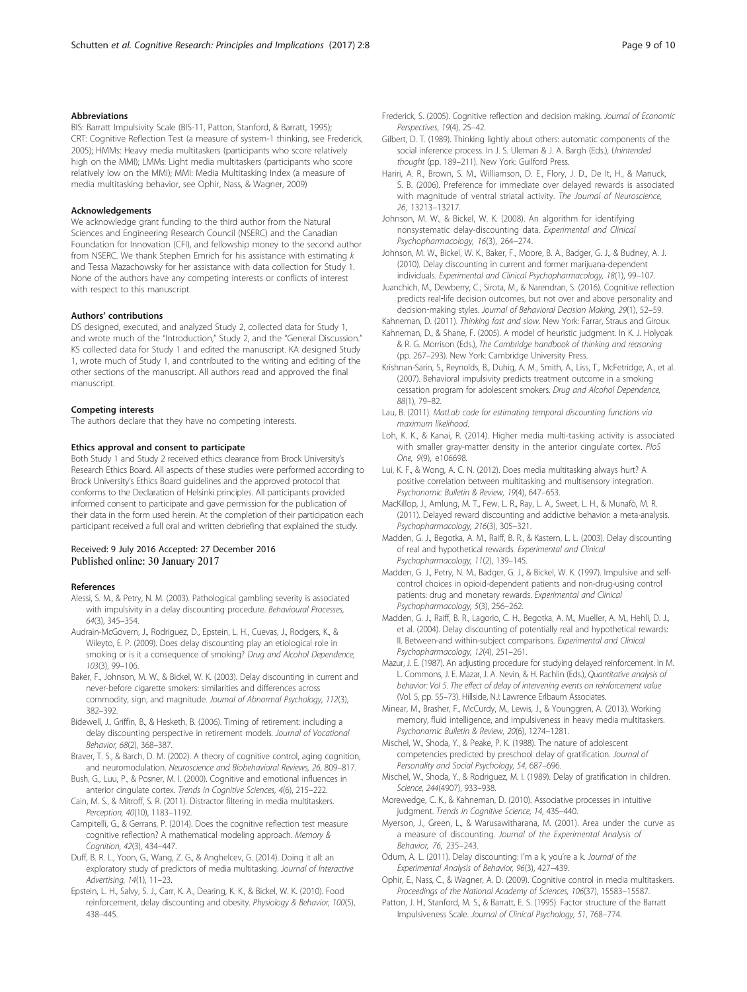#### <span id="page-8-0"></span>Abbreviations

BIS: Barratt Impulsivity Scale (BIS-11, Patton, Stanford, & Barratt, 1995); CRT: Cognitive Reflection Test (a measure of system-1 thinking, see Frederick, 2005); HMMs: Heavy media multitaskers (participants who score relatively high on the MMI); LMMs: Light media multitaskers (participants who score relatively low on the MMI); MMI: Media Multitasking Index (a measure of media multitasking behavior, see Ophir, Nass, & Wagner, 2009)

#### Acknowledgements

We acknowledge grant funding to the third author from the Natural Sciences and Engineering Research Council (NSERC) and the Canadian Foundation for Innovation (CFI), and fellowship money to the second author from NSERC. We thank Stephen Emrich for his assistance with estimating k and Tessa Mazachowsky for her assistance with data collection for Study 1. None of the authors have any competing interests or conflicts of interest with respect to this manuscript.

#### Authors' contributions

DS designed, executed, and analyzed Study 2, collected data for Study 1, and wrote much of the "Introduction," Study 2, and the "General Discussion." KS collected data for Study 1 and edited the manuscript. KA designed Study 1, wrote much of Study 1, and contributed to the writing and editing of the other sections of the manuscript. All authors read and approved the final manuscript.

#### Competing interests

The authors declare that they have no competing interests.

#### Ethics approval and consent to participate

Both Study 1 and Study 2 received ethics clearance from Brock University's Research Ethics Board. All aspects of these studies were performed according to Brock University's Ethics Board guidelines and the approved protocol that conforms to the Declaration of Helsinki principles. All participants provided informed consent to participate and gave permission for the publication of their data in the form used herein. At the completion of their participation each participant received a full oral and written debriefing that explained the study.

#### Received: 9 July 2016 Accepted: 27 December 2016 Published online: 30 January 2017

#### References

- Alessi, S. M., & Petry, N. M. (2003). Pathological gambling severity is associated with impulsivity in a delay discounting procedure. Behavioural Processes, 64(3), 345–354.
- Audrain-McGovern, J., Rodriguez, D., Epstein, L. H., Cuevas, J., Rodgers, K., & Wileyto, E. P. (2009). Does delay discounting play an etiological role in smoking or is it a consequence of smoking? Drug and Alcohol Dependence, 103(3), 99–106.
- Baker, F., Johnson, M. W., & Bickel, W. K. (2003). Delay discounting in current and never-before cigarette smokers: similarities and differences across commodity, sign, and magnitude. Journal of Abnormal Psychology, 112(3), 382–392.
- Bidewell, J., Griffin, B., & Hesketh, B. (2006). Timing of retirement: including a delay discounting perspective in retirement models. Journal of Vocational Behavior, 68(2), 368–387.
- Braver, T. S., & Barch, D. M. (2002). A theory of cognitive control, aging cognition, and neuromodulation. Neuroscience and Biobehavioral Reviews, 26, 809–817.
- Bush, G., Luu, P., & Posner, M. I. (2000). Cognitive and emotional influences in anterior cingulate cortex. Trends in Cognitive Sciences, 4(6), 215–222.
- Cain, M. S., & Mitroff, S. R. (2011). Distractor filtering in media multitaskers. Perception, 40(10), 1183–1192.
- Campitelli, G., & Gerrans, P. (2014). Does the cognitive reflection test measure cognitive reflection? A mathematical modeling approach. Memory & Cognition, 42(3), 434–447.
- Duff, B. R. L., Yoon, G., Wang, Z. G., & Anghelcev, G. (2014). Doing it all: an exploratory study of predictors of media multitasking. Journal of Interactive Advertising, 14(1), 11–23.
- Epstein, L. H., Salvy, S. J., Carr, K. A., Dearing, K. K., & Bickel, W. K. (2010). Food reinforcement, delay discounting and obesity. Physiology & Behavior, 100(5), 438–445.
- Frederick, S. (2005). Cognitive reflection and decision making. Journal of Economic Perspectives, 19(4), 25–42.
- Gilbert, D. T. (1989). Thinking lightly about others: automatic components of the social inference process. In J. S. Uleman & J. A. Bargh (Eds.), Unintended thought (pp. 189–211). New York: Guilford Press.
- Hariri, A. R., Brown, S. M., Williamson, D. E., Flory, J. D., De It, H., & Manuck, S. B. (2006). Preference for immediate over delayed rewards is associated with magnitude of ventral striatal activity. The Journal of Neuroscience, 26, 13213–13217.
- Johnson, M. W., & Bickel, W. K. (2008). An algorithm for identifying nonsystematic delay-discounting data. Experimental and Clinical Psychopharmacology, 16(3), 264–274.
- Johnson, M. W., Bickel, W. K., Baker, F., Moore, B. A., Badger, G. J., & Budney, A. J. (2010). Delay discounting in current and former marijuana-dependent individuals. Experimental and Clinical Psychopharmacology, 18(1), 99–107.
- Juanchich, M., Dewberry, C., Sirota, M., & Narendran, S. (2016). Cognitive reflection predicts real‐life decision outcomes, but not over and above personality and decision-making styles. Journal of Behavioral Decision Making, 29(1), 52-59. Kahneman, D. (2011). Thinking fast and slow. New York: Farrar, Straus and Giroux.
- Kahneman, D., & Shane, F. (2005). A model of heuristic judgment. In K. J. Holyoak & R. G. Morrison (Eds.), The Cambridge handbook of thinking and reasoning (pp. 267–293). New York: Cambridge University Press.
- Krishnan-Sarin, S., Reynolds, B., Duhig, A. M., Smith, A., Liss, T., McFetridge, A., et al. (2007). Behavioral impulsivity predicts treatment outcome in a smoking cessation program for adolescent smokers. Drug and Alcohol Dependence, 88(1), 79–82.
- Lau, B. (2011). MatLab code for estimating temporal discounting functions via maximum likelihood.
- Loh, K. K., & Kanai, R. (2014). Higher media multi-tasking activity is associated with smaller gray-matter density in the anterior cingulate cortex. PloS One, 9(9), e106698.
- Lui, K. F., & Wong, A. C. N. (2012). Does media multitasking always hurt? A positive correlation between multitasking and multisensory integration. Psychonomic Bulletin & Review, 19(4), 647–653.
- MacKillop, J., Amlung, M. T., Few, L. R., Ray, L. A., Sweet, L. H., & Munafò, M. R. (2011). Delayed reward discounting and addictive behavior: a meta-analysis. Psychopharmacology, 216(3), 305–321.
- Madden, G. J., Begotka, A. M., Raiff, B. R., & Kastern, L. L. (2003). Delay discounting of real and hypothetical rewards. Experimental and Clinical Psychopharmacology, 11(2), 139–145.
- Madden, G. J., Petry, N. M., Badger, G. J., & Bickel, W. K. (1997). Impulsive and selfcontrol choices in opioid-dependent patients and non-drug-using control patients: drug and monetary rewards. Experimental and Clinical Psychopharmacology, 5(3), 256–262.
- Madden, G. J., Raiff, B. R., Lagorio, C. H., Begotka, A. M., Mueller, A. M., Hehli, D. J., et al. (2004). Delay discounting of potentially real and hypothetical rewards: II. Between-and within-subject comparisons. Experimental and Clinical Psychopharmacology, 12(4), 251–261.
- Mazur, J. E. (1987). An adjusting procedure for studying delayed reinforcement. In M. L. Commons, J. E. Mazar, J. A. Nevin, & H. Rachlin (Eds.), Quantitative analysis of behavior: Vol 5. The effect of delay of intervening events on reinforcement value (Vol. 5, pp. 55–73). Hillside, NJ: Lawrence Erlbaum Associates.
- Minear, M., Brasher, F., McCurdy, M., Lewis, J., & Younggren, A. (2013). Working memory, fluid intelligence, and impulsiveness in heavy media multitaskers. Psychonomic Bulletin & Review, 20(6), 1274–1281.
- Mischel, W., Shoda, Y., & Peake, P. K. (1988). The nature of adolescent competencies predicted by preschool delay of gratification. Journal of Personality and Social Psychology, 54, 687–696.
- Mischel, W., Shoda, Y., & Rodriguez, M. I. (1989). Delay of gratification in children. Science, 244(4907), 933–938.
- Morewedge, C. K., & Kahneman, D. (2010). Associative processes in intuitive judgment. Trends in Cognitive Science, 14, 435–440.
- Myerson, J., Green, L., & Warusawitharana, M. (2001). Area under the curve as a measure of discounting. Journal of the Experimental Analysis of Behavior, 76, 235–243.
- Odum, A. L. (2011). Delay discounting: I'm a k, you're a k. Journal of the Experimental Analysis of Behavior, 96(3), 427–439.
- Ophir, E., Nass, C., & Wagner, A. D. (2009). Cognitive control in media multitaskers. Proceedings of the National Academy of Sciences, 106(37), 15583–15587.
- Patton, J. H., Stanford, M. S., & Barratt, E. S. (1995). Factor structure of the Barratt Impulsiveness Scale. Journal of Clinical Psychology, 51, 768–774.